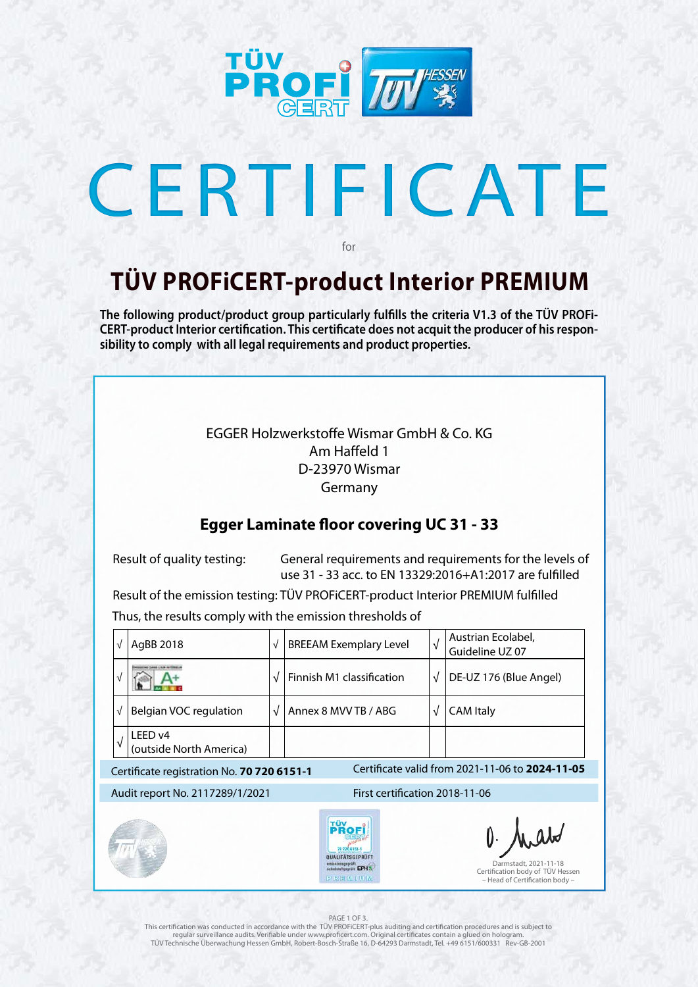

# CERTIFICATE

### **TÜV PROFiCERT-product Interior PREMIUM**

for

**The following product/product group particularly fulfills the criteria V1.3 of the TÜV PROFi-CERT-product Interior certification. This certificate does not acquit the producer of his responsibility to comply with all legal requirements and product properties.** 

This certification was conducted in accordance with the TÜV PROFiCERT-plus auditing and certification procedures and is subject to regular surveillance audits. Verifiable under www.proficert.com. Original certificates contain a glued on hologram. TÜV Technische Überwachung Hessen GmbH, Robert-Bosch-Straße 16, D-64293 Darmstadt, Tel. +49 6151/600331 Rev-GB-2001

| $\sqrt{}$                                                                                     | AgBB 2018                                                         | $\sqrt{}$                                                                                     | <b>BREEAM Exemplary Level</b>                                                                          | $\sqrt{}$ | Austrian Ecolabel,<br>Guideline UZ 07 |  |
|-----------------------------------------------------------------------------------------------|-------------------------------------------------------------------|-----------------------------------------------------------------------------------------------|--------------------------------------------------------------------------------------------------------|-----------|---------------------------------------|--|
| √                                                                                             |                                                                   | $\sqrt{}$                                                                                     | Finnish M1 classification                                                                              | $\sqrt{}$ | DE-UZ 176 (Blue Angel)                |  |
| √                                                                                             | Belgian VOC regulation                                            | $\sqrt{ }$                                                                                    | Annex 8 MVV TB / ABG                                                                                   | $\sqrt{}$ | <b>CAM Italy</b>                      |  |
| $\sqrt{ }$                                                                                    | LEED v4<br>(outside North America)                                |                                                                                               |                                                                                                        |           |                                       |  |
| Certificate valid from 2021-11-06 to 2024-11-05<br>Certificate registration No. 70 720 6151-1 |                                                                   |                                                                                               |                                                                                                        |           |                                       |  |
|                                                                                               | First certification 2018-11-06<br>Audit report No. 2117289/1/2021 |                                                                                               |                                                                                                        |           |                                       |  |
|                                                                                               |                                                                   | TÜV<br>PROF<br>QUALITATSGEPRÜFT<br>emissiningepräft<br>schadsteftgepräft EPH %/<br>PIRE MINUM | O. Malo<br>Darmstadt, 2021-11-18<br>Certification body of TÜV Hessen<br>- Head of Certification body - |           |                                       |  |
| PAGE 1 OF 3.                                                                                  |                                                                   |                                                                                               |                                                                                                        |           |                                       |  |

EGGER Holzwerkstoffe Wismar GmbH & Co. KG Am Haffeld 1 D-23970 Wismar Germany

### **Egger Laminate floor covering UC 31 - 33**

 Result of quality testing: General requirements and requirements for the levels of use 31 - 33 acc. to EN 13329:2016+A1:2017 are fulfilled

 Result of the emission testing: TÜV PROFiCERT-product Interior PREMIUM fulfilled Thus, the results comply with the emission thresholds of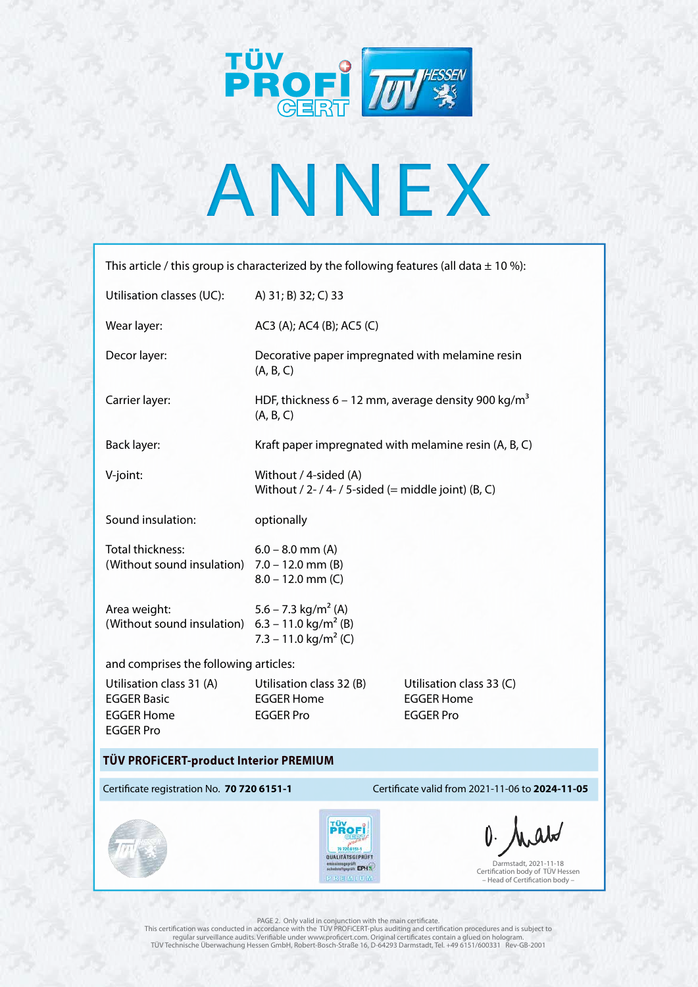

# ANNEX

This article / this group is characterized by the following features (all data  $\pm$  10 %):

Darmstadt, 2021-11-18 Certification body of TÜV Hessen – Head of Certification body –

#### Certificate registration No. **70 720 6151-1** Certificate valid from 2021-11-06 to **2024-11-05**



#### **TÜV PROFiCERT-product Interior PREMIUM**

PAGE 2. Only valid in conjunction with the main certificate. This certification was conducted in accordance with the TÜV PROFiCERT-plus auditing and certification procedures and is subject to regular surveillance audits. Verifiable under www.proficert.com. Original certificates contain a glued on hologram. TÜV Technische Überwachung Hessen GmbH, Robert-Bosch-Straße 16, D-64293 Darmstadt, Tel. +49 6151/600331 Rev-GB-2001

| Utilisation classes (UC):                                                  | A) 31; B) 32; C) 33                                                          |                                               |  |  |  |  |
|----------------------------------------------------------------------------|------------------------------------------------------------------------------|-----------------------------------------------|--|--|--|--|
| Wear layer:                                                                | AC3 (A); AC4 (B); AC5 (C)                                                    |                                               |  |  |  |  |
| Decor layer:                                                               | Decorative paper impregnated with melamine resin<br>(A, B, C)                |                                               |  |  |  |  |
| Carrier layer:                                                             | HDF, thickness 6 – 12 mm, average density 900 kg/m <sup>3</sup><br>(A, B, C) |                                               |  |  |  |  |
| Back layer:                                                                | Kraft paper impregnated with melamine resin (A, B, C)                        |                                               |  |  |  |  |
| V-joint:                                                                   | Without / 4-sided (A)<br>Without / 2- / 4- / 5-sided (= middle joint) (B, C) |                                               |  |  |  |  |
| Sound insulation:                                                          | optionally                                                                   |                                               |  |  |  |  |
| <b>Total thickness:</b><br>(Without sound insulation)                      | $6.0 - 8.0$ mm (A)<br>$7.0 - 12.0$ mm (B)<br>$8.0 - 12.0$ mm (C)             |                                               |  |  |  |  |
| Area weight:<br>(Without sound insulation) $6.3 - 11.0 \text{ kg/m}^2$ (B) | $5.6 - 7.3$ kg/m <sup>2</sup> (A)<br>7.3 – 11.0 kg/m <sup>2</sup> (C)        |                                               |  |  |  |  |
| and comprises the following articles:                                      |                                                                              |                                               |  |  |  |  |
| Utilisation class 31 (A)<br><b>EGGER Basic</b>                             | Utilisation class 32 (B)<br><b>EGGER Home</b>                                | Utilisation class 33 (C)<br><b>EGGER Home</b> |  |  |  |  |

EGGER Home EGGER Pro EGGER Pro

EGGER Pro